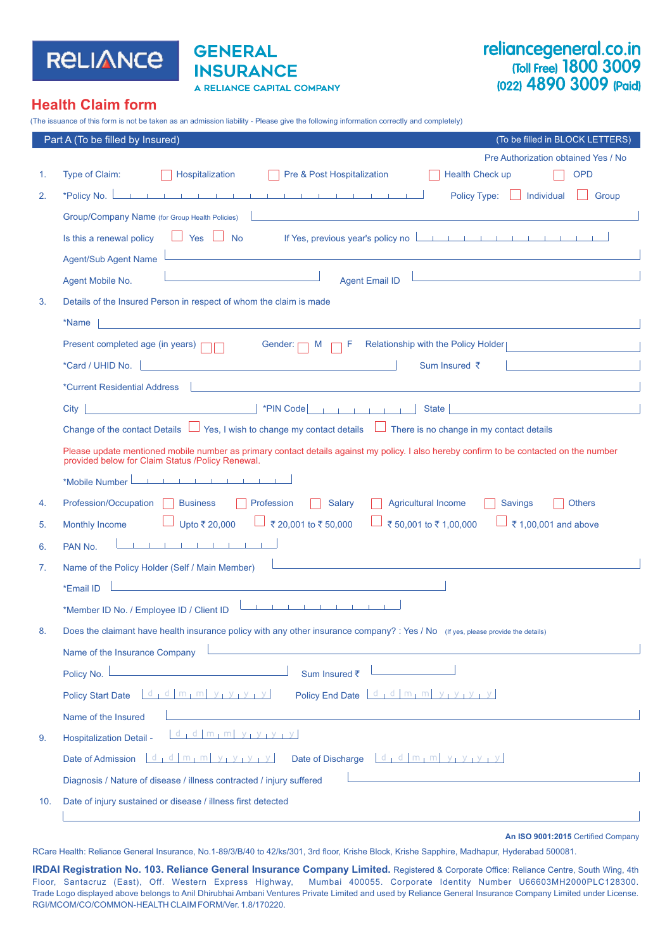

# **GENERAL INSURANCE** A RELIANCE CAPITAL COMPANY

# reliancegeneral.co.in (Toll Free) 1800 3009 (022) 4890 3009 (Paid)

# **Health Claim form**

(The issuance of this form is not be taken as an admission liability - Please give the following information correctly and completely)

|     | (To be filled in BLOCK LETTERS)<br>Part A (To be filled by Insured)                                                                                                                         |
|-----|---------------------------------------------------------------------------------------------------------------------------------------------------------------------------------------------|
|     | Pre Authorization obtained Yes / No                                                                                                                                                         |
| 1.  | Pre & Post Hospitalization<br><b>OPD</b><br>Type of Claim:<br>Hospitalization<br><b>Health Check up</b>                                                                                     |
| 2.  | the contract of the contract of the contract of the contract of the contract of<br>*Policy No.  <br>Individual<br><b>Policy Type:</b><br>Group                                              |
|     | Group/Company Name (for Group Health Policies)                                                                                                                                              |
|     | If Yes, previous year's policy no <u>the present of the previous year's policy no the present of the present of the present</u><br>$\Box$ Yes $\Box$ No<br>Is this a renewal policy         |
|     | and the control of the control of the control of the control of the control of the control of the control of the<br><b>Agent/Sub Agent Name</b>                                             |
|     | <u> 1989 - Johann Barn, mars ann an t-Amhain an t-Amhain an t-Amhain an t-Amhain an t-Amhain an t-Amhain an t-Amh</u><br><b>Agent Email ID</b><br>Agent Mobile No.                          |
| 3.  | Details of the Insured Person in respect of whom the claim is made                                                                                                                          |
|     | *Name                                                                                                                                                                                       |
|     | Relationship with the Policy Holder<br>Present completed age (in years) $\Box$<br>Gender: $\Box$ M r                                                                                        |
|     | *Card / UHID No.<br>Sum Insured ₹                                                                                                                                                           |
|     | *Current Residential Address                                                                                                                                                                |
|     | *PIN Code $\begin{array}{cccc} \n\cdot & \cdot & \cdot & \cdot & \cdot & \cdot \cdot \n\end{array}$<br>State  <br>City                                                                      |
|     | Change of the contact Details $\Box$ Yes, I wish to change my contact details $\Box$ There is no change in my contact details                                                               |
|     | Please update mentioned mobile number as primary contact details against my policy. I also hereby confirm to be contacted on the number<br>provided below for Claim Status /Policy Renewal. |
|     | the contract of the contract of<br>*Mobile Number                                                                                                                                           |
| 4.  | Profession/Occupation<br><b>Business</b><br>Profession<br><b>Salary</b><br><b>Agricultural Income</b><br><b>Others</b><br><b>Savings</b>                                                    |
| 5.  | ₹ 50,001 to ₹ 1,00,000<br>Upto ₹ 20,000<br>₹ 20,001 to ₹ 50,000<br>₹1,00,001 and above<br><b>Monthly Income</b>                                                                             |
| 6.  | the control of the control of<br>PAN No.                                                                                                                                                    |
| 7.  | <u> 1989 - Johann Barbara, martxa eta politikaria (h. 1908).</u><br>Name of the Policy Holder (Self / Main Member)                                                                          |
|     | <u> 1980 - Jan Barbara, martin da kasar Amerikaan kasar Indonesia.</u><br>*Email ID                                                                                                         |
|     | *Member ID No. / Employee ID / Client ID                                                                                                                                                    |
| 8.  | Does the claimant have health insurance policy with any other insurance company? : Yes / No (If yes, please provide the details)                                                            |
|     | Name of the Insurance Company                                                                                                                                                               |
|     | Policy No.<br>Sum Insured ₹                                                                                                                                                                 |
|     | $d_1 d  m_1 m   y_1 y_1 y_1 y $<br>Policy End Date   d   d   m   m   y   y   y   y  <br><b>Policy Start Date</b>                                                                            |
|     | Name of the Insured                                                                                                                                                                         |
| 9.  | $d_1 d  m_1 m $ y <sub>1</sub> y <sub>1</sub> y <sub>1</sub> y <sub>1</sub><br><b>Hospitalization Detail -</b>                                                                              |
|     | Date of Admission $\lfloor d \rfloor \lfloor d \rfloor m_1 m \rfloor y_1 y_2 y_3$<br>Date of Discharge $\lfloor d \rfloor \lfloor d \rfloor m_1 m_2 \rfloor y_1 y_2 y_1$                    |
|     | Diagnosis / Nature of disease / illness contracted / injury suffered                                                                                                                        |
| 10. | Date of injury sustained or disease / illness first detected                                                                                                                                |
|     |                                                                                                                                                                                             |

**An ISO 9001:2015** Certified Company

RCare Health: Reliance General Insurance, No.1-89/3/B/40 to 42/ks/301, 3rd floor, Krishe Block, Krishe Sapphire, Madhapur, Hyderabad 500081.

**IRDAI Registration No. 103. Reliance General Insurance Company Limited.** Registered & Corporate Office: Reliance Centre, South Wing, 4th Floor, Santacruz (East), Off. Western Express Highway, Mumbai 400055. Corporate Identity Number U66603MH2000PLC128300. Trade Logo displayed above belongs to Anil Dhirubhai Ambani Ventures Private Limited and used by Reliance General Insurance Company Limited under License. RGI/MCOM/CO/COMMON-HEALTH CLAIM FORM/Ver. 1.8/170220.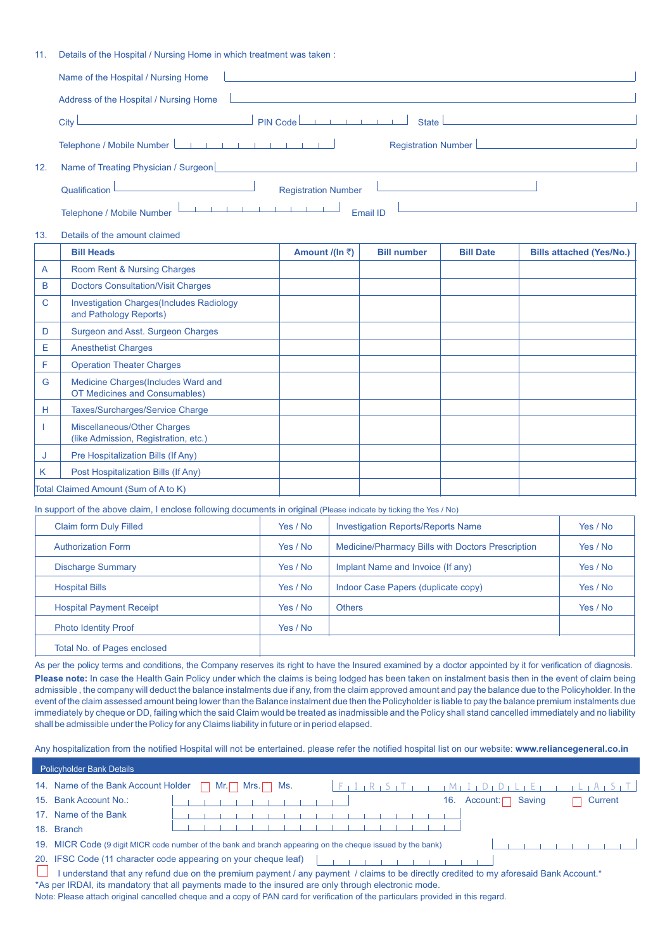11. Details of the Hospital / Nursing Home in which treatment was taken :

|     | <u> 1989 - John Stein, Amerikaansk politiker († 1908)</u><br>Name of the Hospital / Nursing Home                                                                                                                                     |
|-----|--------------------------------------------------------------------------------------------------------------------------------------------------------------------------------------------------------------------------------------|
|     | Address of the Hospital / Nursing Home                                                                                                                                                                                               |
|     | $J$ PIN Code<br>State <u>  with the state of</u><br>$\mathsf{City} \sqcup$                                                                                                                                                           |
|     | Telephone / Mobile Number<br>Registration Number                                                                                                                                                                                     |
| 12. | Name of Treating Physician / Surgeon <b>Contract Contract Contract Contract Contract Contract Contract Contract Contract Contract Contract Contract Contract Contract Contract Contract Contract Contract Contract Contract Cont</b> |
|     | <b>Registration Number</b><br>Qualification<br>and the control of the control of the control of                                                                                                                                      |
|     | $\mathbf{U}=\mathbf{U}=\mathbf{1}+\mathbf{1}+\mathbf{1}+\mathbf{1}+\mathbf{1}+\mathbf{1}$<br>Telephone / Mobile Number<br>Email ID                                                                                                   |

13. Details of the amount claimed

|   | <b>Bill Heads</b>                                                          | Amount /(In ₹) | <b>Bill number</b> | <b>Bill Date</b> | <b>Bills attached (Yes/No.)</b> |
|---|----------------------------------------------------------------------------|----------------|--------------------|------------------|---------------------------------|
| A | Room Rent & Nursing Charges                                                |                |                    |                  |                                 |
| B | <b>Doctors Consultation/Visit Charges</b>                                  |                |                    |                  |                                 |
| C | <b>Investigation Charges (Includes Radiology</b><br>and Pathology Reports) |                |                    |                  |                                 |
| D | Surgeon and Asst. Surgeon Charges                                          |                |                    |                  |                                 |
| Е | <b>Anesthetist Charges</b>                                                 |                |                    |                  |                                 |
| F | <b>Operation Theater Charges</b>                                           |                |                    |                  |                                 |
| G | Medicine Charges (Includes Ward and<br>OT Medicines and Consumables)       |                |                    |                  |                                 |
| н | Taxes/Surcharges/Service Charge                                            |                |                    |                  |                                 |
|   | Miscellaneous/Other Charges<br>(like Admission, Registration, etc.)        |                |                    |                  |                                 |
| J | Pre Hospitalization Bills (If Any)                                         |                |                    |                  |                                 |
| K | Post Hospitalization Bills (If Any)                                        |                |                    |                  |                                 |
|   | Total Claimed Amount (Sum of A to K)                                       |                |                    |                  |                                 |

In support of the above claim, I enclose following documents in original (Please indicate by ticking the Yes / No)

| <b>Claim form Duly Filled</b>   | Yes / No | <b>Investigation Reports/Reports Name</b>                | Yes / No |  |  |
|---------------------------------|----------|----------------------------------------------------------|----------|--|--|
| <b>Authorization Form</b>       | Yes / No | <b>Medicine/Pharmacy Bills with Doctors Prescription</b> | Yes / No |  |  |
| <b>Discharge Summary</b>        | Yes / No | Implant Name and Invoice (If any)                        | Yes / No |  |  |
| <b>Hospital Bills</b>           | Yes / No | Indoor Case Papers (duplicate copy)                      | Yes / No |  |  |
| <b>Hospital Payment Receipt</b> | Yes / No | <b>Others</b>                                            | Yes / No |  |  |
| <b>Photo Identity Proof</b>     | Yes / No |                                                          |          |  |  |
| Total No. of Pages enclosed     |          |                                                          |          |  |  |

As per the policy terms and conditions, the Company reserves its right to have the Insured examined by a doctor appointed by it for verification of diagnosis. Please note: In case the Health Gain Policy under which the claims is being lodged has been taken on instalment basis then in the event of claim being admissible , the company will deduct the balance instalments due if any, from the claim approved amount and pay the balance due to the Policyholder. In the event of the claim assessed amount being lower than the Balance instalment due then the Policyholder is liable to pay the balance premium instalments due immediately by cheque or DD, failing which the said Claim would be treated as inadmissible and the Policy shall stand cancelled immediately and no liability shall be admissible under the Policy for any Claims liability in future or in period elapsed.

Any hospitalization from the notified Hospital will not be entertained. please refer the notified hospital list on our website: **www.reliancegeneral.co.in**

| <b>Policyholder Bank Details</b>                                                                           |                                                                                                                                       |  |  |  |                           |  |  |  |  |  |  |  |     |          |        |  |         |  |  |
|------------------------------------------------------------------------------------------------------------|---------------------------------------------------------------------------------------------------------------------------------------|--|--|--|---------------------------|--|--|--|--|--|--|--|-----|----------|--------|--|---------|--|--|
|                                                                                                            | 14. Name of the Bank Account Holder                                                                                                   |  |  |  | $Mr.\Box$ Mrs. $\Box$ Ms. |  |  |  |  |  |  |  |     |          |        |  |         |  |  |
|                                                                                                            | 15. Bank Account No.:                                                                                                                 |  |  |  |                           |  |  |  |  |  |  |  | 16. | Account: | Saving |  | Current |  |  |
|                                                                                                            | 17. Name of the Bank                                                                                                                  |  |  |  |                           |  |  |  |  |  |  |  |     |          |        |  |         |  |  |
| 18.                                                                                                        | <b>Branch</b>                                                                                                                         |  |  |  |                           |  |  |  |  |  |  |  |     |          |        |  |         |  |  |
| 19. MICR Code (9 digit MICR code number of the bank and branch appearing on the cheque issued by the bank) |                                                                                                                                       |  |  |  |                           |  |  |  |  |  |  |  |     |          |        |  |         |  |  |
| 20. IFSC Code (11 character code appearing on your cheque leaf)                                            |                                                                                                                                       |  |  |  |                           |  |  |  |  |  |  |  |     |          |        |  |         |  |  |
|                                                                                                            | I understand that any refund due on the premium payment / any payment / claims to be directly credited to my aforesaid Bank Account.* |  |  |  |                           |  |  |  |  |  |  |  |     |          |        |  |         |  |  |
|                                                                                                            | *As per IRDAI, its mandatory that all payments made to the insured are only through electronic mode.                                  |  |  |  |                           |  |  |  |  |  |  |  |     |          |        |  |         |  |  |

Note: Please attach original cancelled cheque and a copy of PAN card for verification of the particulars provided in this regard.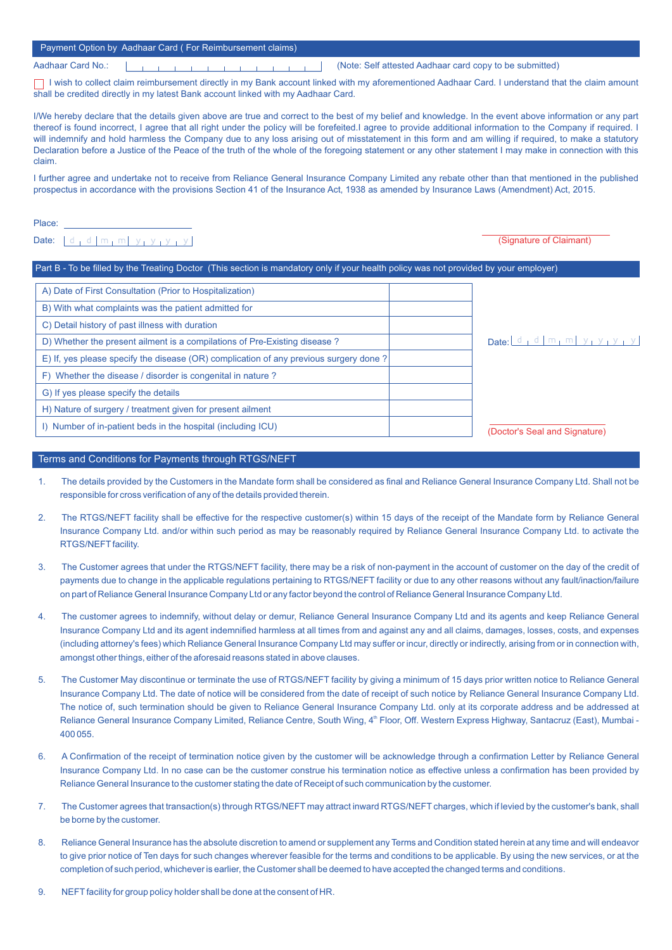## Payment Option by Aadhaar Card ( For Reimbursement claims)

Aadhaar Card No.: (Note: Self attested Aadhaar card copy to be submitted)

□ I wish to collect claim reimbursement directly in my Bank account linked with my aforementioned Aadhaar Card. I understand that the claim amount shall be credited directly in my latest Bank account linked with my Aadhaar Card.

I/We hereby declare that the details given above are true and correct to the best of my belief and knowledge. In the event above information or any part thereof is found incorrect, I agree that all right under the policy will be forefeited.I agree to provide additional information to the Company if required. I will indemnify and hold harmless the Company due to any loss arising out of misstatement in this form and am willing if required, to make a statutory Declaration before a Justice of the Peace of the truth of the whole of the foregoing statement or any other statement I may make in connection with this claim.

I further agree and undertake not to receive from Reliance General Insurance Company Limited any rebate other than that mentioned in the published prospectus in accordance with the provisions Section 41 of the Insurance Act, 1938 as amended by Insurance Laws (Amendment) Act, 2015.

Place:

Date:  $\left| d_1 d \right| m_1 m \left| y_1 y_1 y_1 \right|$ 

#### Part B - To be filled by the Treating Doctor (This section is mandatory only if your health policy was not provided by your employer)

| A) Date of First Consultation (Prior to Hospitalization)                              |                                                        |                               |
|---------------------------------------------------------------------------------------|--------------------------------------------------------|-------------------------------|
| B) With what complaints was the patient admitted for                                  |                                                        |                               |
| C) Detail history of past illness with duration                                       |                                                        |                               |
| D) Whether the present ailment is a compilations of Pre-Existing disease?             | $\Delta$ Date: $d_1 d \mid m_1 m \mid y_1 y_1 y_1 y_2$ |                               |
| E) If, yes please specify the disease (OR) complication of any previous surgery done? |                                                        |                               |
| Whether the disease / disorder is congenital in nature?<br>F)                         |                                                        |                               |
| G) If yes please specify the details                                                  |                                                        |                               |
| H) Nature of surgery / treatment given for present ailment                            |                                                        |                               |
| I) Number of in-patient beds in the hospital (including ICU)                          |                                                        | (Doctor's Seal and Signature) |

### Terms and Conditions for Payments through RTGS/NEFT

- 1. The details provided by the Customers in the Mandate form shall be considered as final and Reliance General Insurance Company Ltd. Shall not be responsible for cross verification of any of the details provided therein.
- 2. The RTGS/NEFT facility shall be effective for the respective customer(s) within 15 days of the receipt of the Mandate form by Reliance General Insurance Company Ltd. and/or within such period as may be reasonably required by Reliance General Insurance Company Ltd. to activate the RTGS/NEFT facility.
- 3. The Customer agrees that under the RTGS/NEFT facility, there may be a risk of non-payment in the account of customer on the day of the credit of payments due to change in the applicable regulations pertaining to RTGS/NEFT facility or due to any other reasons without any fault/inaction/failure on part of Reliance General Insurance Company Ltd or any factor beyond the control of Reliance General Insurance Company Ltd.
- 4. The customer agrees to indemnify, without delay or demur, Reliance General Insurance Company Ltd and its agents and keep Reliance General Insurance Company Ltd and its agent indemnified harmless at all times from and against any and all claims, damages, losses, costs, and expenses (including attorney's fees) which Reliance General Insurance Company Ltd may suffer or incur, directly or indirectly, arising from or in connection with, amongst other things, either of the aforesaid reasons stated in above clauses.
- 5. The Customer May discontinue or terminate the use of RTGS/NEFT facility by giving a minimum of 15 days prior written notice to Reliance General Insurance Company Ltd. The date of notice will be considered from the date of receipt of such notice by Reliance General Insurance Company Ltd. The notice of, such termination should be given to Reliance General Insurance Company Ltd. only at its corporate address and be addressed at Reliance General Insurance Company Limited, Reliance Centre, South Wing, 4<sup>th</sup> Floor, Off. Western Express Highway, Santacruz (East), Mumbai -400 055.
- 6. A Confirmation of the receipt of termination notice given by the customer will be acknowledge through a confirmation Letter by Reliance General Insurance Company Ltd. In no case can be the customer construe his termination notice as effective unless a confirmation has been provided by Reliance General Insurance to the customer stating the date of Receipt of such communication by the customer.
- 7. The Customer agrees that transaction(s) through RTGS/NEFT may attract inward RTGS/NEFT charges, which if levied by the customer's bank, shall be borne by the customer.
- 8. Reliance General Insurance has the absolute discretion to amend or supplement any Terms and Condition stated herein at any time and will endeavor to give prior notice of Ten days for such changes wherever feasible for the terms and conditions to be applicable. By using the new services, or at the completion of such period, whichever is earlier, the Customer shall be deemed to have accepted the changed terms and conditions.
- 9. NEFT facility for group policy holder shall be done at the consent of HR.